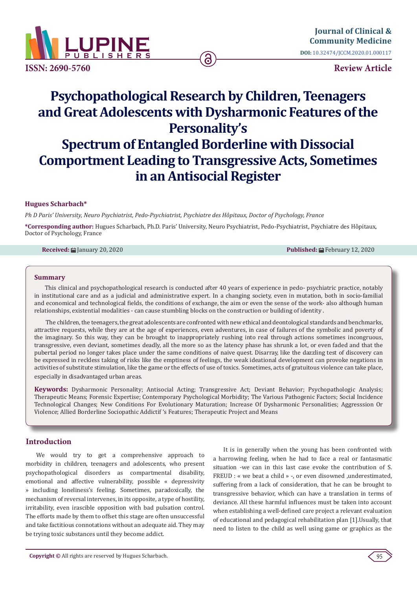

**Review Article**

# **Psychopathological Research by Children, Teenagers and Great Adolescents with Dysharmonic Features of the Personality's Spectrum of Entangled Borderline with Dissocial Comportment Leading to Transgressive Acts, Sometimes in an Antisocial Register**

ခြ

## **Hugues Scharbach\***

*Ph D Paris' University, Neuro Psychiatrist, Pedo-Psychiatrist, Psychiatre des Hôpitaux, Doctor of Psychology, France*

**\*Corresponding author:** Hugues Scharbach, Ph.D. Paris' University, Neuro Psychiatrist, Pedo-Psychiatrist, Psychiatre des Hôpitaux, Doctor of Psychology, France

**Received:**  $\blacksquare$  January 20, 2020 **Published:**  $\blacksquare$  Pebruary 12, 2020

#### **Summary**

This clinical and psychopathological research is conducted after 40 years of experience in pedo- psychiatric practice, notably in institutional care and as a judicial and administrative expert. In a changing society, even in mutation, both in socio-familial and economical and technological fields, the conditions of exchange, the aim or even the sense of the work- also although human relationships, existential modalities - can cause stumbling blocks on the construction or building of identity .

 The children, the teenagers, the great adolescents are confronted with new ethical and deontological standards and benchmarks, attractive requests, while they are at the age of experiences, even adventures, in case of failures of the symbolic and poverty of the imaginary. So this way, they can be brought to inappropriately rushing into real through actions sometimes incongruous, transgressive, even deviant, sometimes deadly, all the more so as the latency phase has shrunk a lot, or even faded and that the pubertal period no longer takes place under the same conditions of naive quest. Disarray, like the dazzling test of discovery can be expressed in reckless taking of risks like the emptiness of feelings, the weak ideational development can provoke negations in activities of substitute stimulation, like the game or the effects of use of toxics. Sometimes, acts of gratuitous violence can take place, especially in disadvantaged urban areas.

**Keywords:** Dysharmonic Personality; Antisocial Acting; Transgressive Act; Deviant Behavior; Psychopathologic Analysis; Therapeutic Means; Forensic Expertise; Contemporary Psychological Morbidity; The Various Pathogenic Factors; Social Incidence Technological Changes; New Conditions For Evolutionary Maturation; Increase Of Dysharmonic Personalities; Aggresssion Or Violence; Allied Borderline Sociopathic Addictif 's Features; Therapeutic Project and Means

## **Introduction**

We would try to get a comprehensive approach to morbidity in children, teenagers and adolescents, who present psychopathological disorders as compartmental disability, emotional and affective vulnerability, possible « depressivity » including loneliness's feeling. Sometimes, paradoxically, the mechanism of reversal intervenes, in its opposite, a type of hostility, irritability, even irascible opposition with bad pulsation control. The efforts made by them to offset this stage are often unsuccessful and take factitious connotations without an adequate aid. They may be trying toxic substances until they become addict.

It is in generally when the young has been confronted with a harrowing feeling, when he had to face a real or fantasmatic situation -we can in this last case evoke the contribution of S. FREUD : « we beat a child » -, or even disowned ,underestimated, suffering from a lack of consideration, that he can be brought to transgressive behavior, which can have a translation in terms of deviance. All these harmful influences must be taken into account when establishing a well-defined care project a relevant evaluation of educational and pedagogical rehabilitation plan [1].Usually, that need to listen to the child as well using game or graphics as the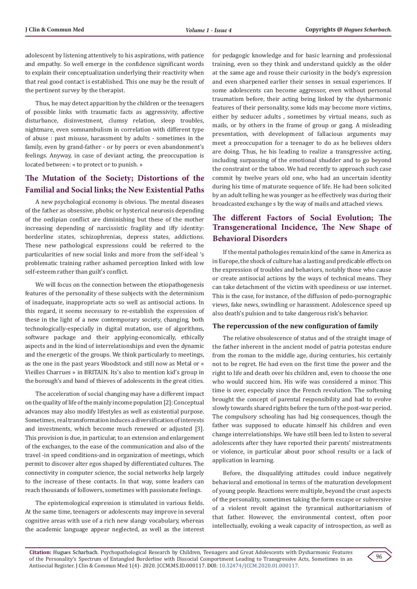adolescent by listening attentively to his aspirations, with patience and empathy. So well emerge in the confidence significant words to explain their conceptualization underlying their reactivity when that real good contact is established. This one may be the result of the pertinent survey by the therapist.

Thus, he may detect apparition by the children or the teenagers of possible links with traumatic facts as aggressivity, affective disturbance, disinvestment, clumsy relation, sleep troubles, nightmare, even somnambulism in correlation with different type of abuse : past misuse, harassment by adults - sometimes in the family, even by grand-father - or by peers or even abandonment's feelings. Anyway, in case of deviant acting, the preoccupation is located between: « to protect or to punish. »

# **The Mutation of the Society; Distortions of the Familial and Social links; the New Existential Paths**

A new psychological economy is obvious. The mental diseases of the father as obsessive, phobic or hysterical neurosis depending of the oedipian conflict are diminishing but these of the mother increasing depending of narcissistic fragility and iffy identity: borderline states, schizophrenias, depress states, addictions. These new pathological expressions could be referred to the particularities of new social links and more from the self-ideal 's problematic training rather ashamed perception linked with low self-esteem rather than guilt's conflict.

We will focus on the connection between the etiopathogenesis features of the personality of these subjects with the determinism of inadequate, inappropriate acts so well as antisocial actions. In this regard, it seems necessary to re-establish the expression of these in the light of a new contemporary society, changing, both technologically-especially in digital mutation, use of algorithms, software package and their applying-economically, ethically aspects and in the kind of interrelationships and even the dynamic and the energetic of the groups. We think particularly to meetings, as the one in the past years Woodstock and still now as Metal or « Vieilles Charrues » in BRITAIN. Its's also to mention kid's group in the borough's and band of thieves of adolescents in the great cities.

The acceleration of social changing may have a different impact on the quality of life of the mainly income population [2]: Conceptual advances may also modify lifestyles as well as existential purpose. Sometimes, real transformation induces a diversification of interests and investments, which become much renewed or adjusted [3]. This provision is due, in particular, to an extension and enlargement of the exchanges, to the ease of the communication and also of the travel -in speed conditions-and in organization of meetings, which permit to discover alter egos shaped by differentiated cultures. The connectivity in computer science, the social networks help largely to the increase of these contacts. In that way, some leaders can reach thousands of followers, sometimes with passionate feelings.

The epistemological expression is stimulated in various fields. At the same time, teenagers or adolescents may improve in several cognitive areas with use of a rich new slangy vocabulary, whereas the academic language appear neglected, as well as the interest for pedagogic knowledge and for basic learning and professional training, even so they think and understand quickly as the older at the same age and rouse their curiosity in the body's expression and even sharpened earlier their senses in sexual experiences. If some adolescents can become aggressor, even without personal traumatism before, their acting being linked by the dysharmonic features of their personality, some kids may become more victims, either by seducer adults , sometimes by virtual means, such as mails, or by others in the frame of group or gang. A misleading presentation, with development of fallacious arguments may meet a preoccupation for a teenager to do as he believes olders are doing. Thus, he his leading to realize a transgressive acting, including surpassing of the emotional shudder and to go beyond the constraint or the taboo. We had recently to approach such case commit by twelve years old one, who had an uncertain identity during his time of maturate sequence of life. He had been solicited by an adult telling he was younger as he effectively was during their broadcasted exchange s by the way of mails and attached views.

# **The different Factors of Social Evolution; The Transgenerational Incidence, The New Shape of Behavioral Disorders**

If the mental pathologies remain kind of the same in America as in Europe, the shock of culture has a lasting and predicable effects on the expression of troubles and behaviors, notably those who cause or create antisocial actions by the ways of technical means. They can take detachment of the victim with speediness or use internet. This is the case, for instance, of the diffusion of pedo-pornographic views, fake news, swindling or harassment. Adolescence speed up also death's pulsion and to take dangerous risk's behavior.

## **The repercussion of the new configuration of family**

The relative obsolescence of status and of the straight image of the father inherent in the ancient model of patria potestas endure from the roman to the middle age, during centuries, his certainly not to be regret. He had even on the first time the power and the right to life and death over his children and, even to choose the one who would succeed him. His wife was considered a minor. This time is over, especially since the French revolution. The softening brought the concept of parental responsibility and had to evolve slowly towards shared rights before the turn of the post-war period. The compulsory schooling has had big consequences, though the father was supposed to educate himself his children and even change interrelationships. We have still been led to listen to several adolescents after they have reported their parents' mistreatments or violence, in particular about poor school results or a lack of application in learning.

Before, the disqualifying attitudes could induce negatively behavioral and emotional in terms of the maturation development of young people. Reactions were multiple, beyond the crust aspects of the personality, sometimes taking the form escape or subversive of a violent revolt against the tyrannical authoritarianism of that father. However, the environmental context, often poor intellectually, evoking a weak capacity of introspection, as well as

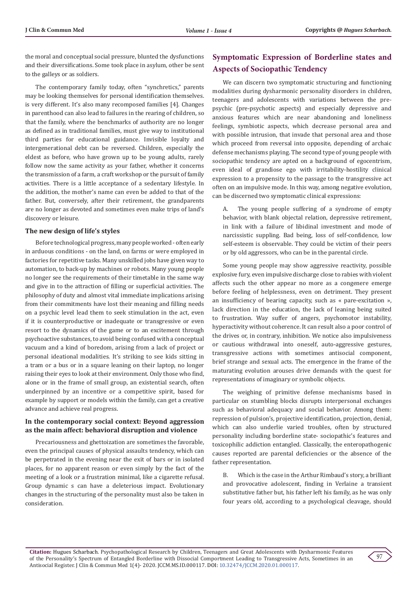the moral and conceptual social pressure, blunted the dysfunctions and their diversifications. Some took place in asylum, other be sent to the galleys or as soldiers.

The contemporary family today, often "synchretics," parents may be looking themselves for personal identification themselves. is very different. It's also many recomposed families [4]. Changes in parenthood can also lead to failures in the rearing of children, so that the family, where the benchmarks of authority are no longer as defined as in traditional families, must give way to institutional third parties for educational guidance. Invisible loyalty and intergenerational debt can be reversed. Children, especially the eldest as before, who have grown up to be young adults, rarely follow now the same activity as your father, whether it concerns the transmission of a farm, a craft workshop or the pursuit of family activities. There is a little acceptance of a sedentary lifestyle. In the addition, the mother's name can even be added to that of the father. But, conversely, after their retirement, the grandparents are no longer as devoted and sometimes even make trips of land's discovery or leisure.

#### **The new design of life's styles**

Before technological progress, many people worked - often early in arduous conditions - on the land, on farms or were employed in factories for repetitive tasks. Many unskilled jobs have given way to automation, to back-up by machines or robots. Many young people no longer see the requirements of their timetable in the same way and give in to the attraction of filling or superficial activities. The philosophy of duty and almost vital immediate implications arising from their commitments have lost their meaning and filling needs on a psychic level lead them to seek stimulation in the act, even if it is counterproductive or inadequate or transgressive or even resort to the dynamics of the game or to an excitement through psychoactive substances, to avoid being confused with a conceptual vacuum and a kind of boredom, arising from a lack of project or personal ideational modalities. It's striking to see kids sitting in a tram or a bus or in a square leaning on their laptop, no longer raising their eyes to look at their environment. Only those who find, alone or in the frame of small group, an existential search, often underpinned by an incentive or a competitive spirit, based for example by support or models within the family, can get a creative advance and achieve real progress.

## **In the contemporary social context: Beyond aggression as the main affect: behavioral disruption and violence**

Precariousness and ghettoization are sometimes the favorable, even the principal causes of physical assaults tendency, which can be perpetrated in the evening near the exit of bars or in isolated places, for no apparent reason or even simply by the fact of the meeting of a look or a frustration minimal, like a cigarette refusal. Group dynamic s can have a deleterious impact. Evolutionary changes in the structuring of the personality must also be taken in consideration.

# **Symptomatic Expression of Borderline states and Aspects of Sociopathic Tendency**

We can discern two symptomatic structuring and functioning modalities during dysharmonic personality disorders in children, teenagers and adolescents with variations between the prepsychic (pre-psychotic aspects) and especially depressive and anxious features which are near abandoning and loneliness feelings, symbiotic aspects, which decrease personal area and with possible intrusion, that invade that personal area and those which proceed from reversal into opposite, depending of archaic defense mechanisms playing. The second type of young people with sociopathic tendency are apted on a background of egocentrism, even ideal of grandiose ego with irritability-hostility clinical expression to a propensity to the passage to the transgressive act often on an impulsive mode. In this way, among negative evolution, can be discerned two symptomatic clinical expressions:

A. The young people suffering of a syndrome of empty behavior, with blank objectal relation, depressive retirement, in link with a failure of libidinal investment and mode of narcissistic suppling. Bad being, loss of self-confidence, low self-esteem is observable. They could be victim of their peers or by old aggressors, who can be in the parental circle.

Some young people may show aggressive reactivity, possible explosive fury, even impulsive discharge close to rabies with violent affects such the other appear no more as a congenere emerge before feeling of helplessness, even on detriment. They present an insufficiency of bearing capacity, such as « pare-excitation », lack direction in the education, the lack of leaning being suited to frustration. Way suffer of angers, psychomotor instability, hyperactivity without coherence. It can result also a poor control of the drives or, in contrary, inhibition. We notice also impulsiveness or cautious withdrawal into oneself, auto-aggressive gestures, transgressive actions with sometimes antisocial component, brief strange and sexual acts. The emergence in the frame of the maturating evolution arouses drive demands with the quest for representations of imaginary or symbolic objects.

The weighing of primitive defense mechanisms based in particular on stumbling blocks disrupts interpersonal exchanges such as behavioral adequacy and social behavior. Among them: repression of pulsion's, projective identification, projection, denial, which can also underlie varied troubles, often by structured personality including borderline state- sociopathic's features and toxicophilic addiction entangled. Classically, the enteropathogenic causes reported are parental deficiencies or the absence of the father representation.

B. Which is the case in the Arthur Rimbaud's story, a brilliant and provocative adolescent, finding in Verlaine a transient substitutive father but, his father left his family, as he was only four years old, according to a psychological cleavage, should

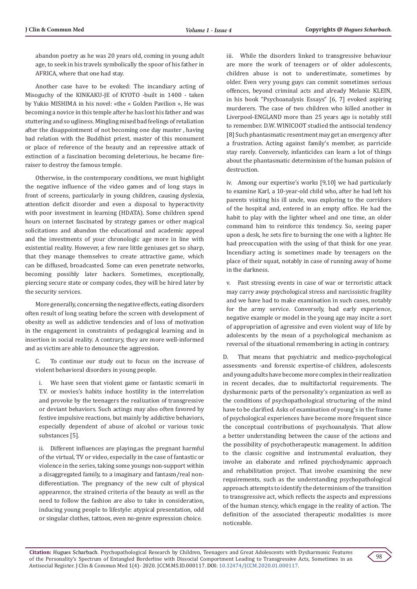abandon poetry as he was 20 years old, coming in young adult age, to seek in his travels symbolically the spoor of his father in AFRICA, where that one had stay.

Another case have to be evoked: The incandiary acting of Misoguchy of the KINKAKU-JE of KYOTO -built in 1400 - taken by Yukio MISHIMA in his novel: «the « Golden Pavilion », He was becoming a novice in this temple after he has lost his father and was stuttering and so ugliness. Mingling mixed bad feelings of retaliation after the disappointment of not becoming one day master , having bad relation with the Buddhist priest, master of this monument or place of reference of the beauty and an repressive attack of extinction of a fascination becoming deleterious, he became fireraiser to destroy the famous temple.

Otherwise, in the contemporary conditions, we must highlight the negative influence of the video games and of long stays in front of screens, particularly in young children, causing dyslexia, attention deficit disorder and even a disposal to hyperactivity with poor investment in learning (HDATA). Some children spend hours on internet fascinated by strategy games or other magical solicitations and abandon the educational and academic appeal and the investments of your chronologic age more in line with existential reality. However, a few rare little geniuses get so sharp, that they manage themselves to create attractive game, which can be diffused, broadcasted. Some can even penetrate networks, becoming possibly later hackers. Sometimes, exceptionally, piercing secure state or company codes, they will be hired later by the security services.

More generally, concerning the negative effects, eating disorders often result of long seating before the screen with development of obesity as well as addictive tendencies and of loss of motivation in the engagement in constraints of pedagogical learning and in insertion in social reality. A contrary, they are more well-informed and as victim are able to denounce the aggression.

C. To continue our study out to focus on the increase of violent behavioral disorders in young people.

i. We have seen that violent game or fantastic scenarii in T.V. or movies's habits induce hostility in the interrelation and provoke by the teenagers the realization of transgressive or deviant behaviors. Such actings may also often favored by festive impulsive reactions, but mainly by addictive behaviors, especially dependent of abuse of alcohol or various toxic substances [5].

ii. Different influences are playing,as the pregnant harmful of the virtual, TV or video, especially in the case of fantastic or violence in the series, taking some youngs non-support within a disaggregated family, to a imaginary and fantasm/real nondifferentiation. The pregnancy of the new cult of physical appearence, the strained criteria of the beauty as well as the need to follow the fashion are also to take in consideration, inducing young people to lifestyle: atypical presentation, odd or singular clothes, tattoos, even no-genre expression choice.

iii. While the disorders linked to transgressive behaviour are more the work of teenagers or of older adolescents, children abuse is not to underestimate, sometimes by older. Even very young guys can commit sometimes serious offences, beyond criminal acts and already Melanie KLEIN, in his book "Psychoanalysis Essays" [6, 7] evoked aspiring murderers. The case of two children who killed another in Liverpool-ENGLAND more than 25 years ago is notably still to remember. D.W. WINICOOT studied the antisocial tendency [8] Such phantasmatic resentment may get an emergency after a frustration. Acting against family's member, as parricide stay rarely. Conversely, infanticides can learn a lot of things about the phantasmatic determinism of the human pulsion of destruction.

iv. Among our expertise's works [9,10] we had particularly to examine Karl, a 10-year-old child who, after he had left his parents visiting his ill uncle, was exploring to the corridors of the hospital and, entered in an empty office. He had the habit to play with the lighter wheel and one time, an older command him to reinforce this tendency. So, seeing paper upon a desk, he sets fire to burning the one with a lighter. He had preoccupation with the using of that think for one year. Incendiary acting is sometimes made by teenagers on the place of their squat, notably in case of running away of home in the darkness.

v. Past stressing events in case of war or terroristic attack may carry away psychological stress and narcissistic fragility and we have had to make examination in such cases, notably for the army service. Conversely, bad early experience, negative example or model in the young age may incite a sort of appropriation of agressive and even violent way of life by adolescents by the mean of a psychological mechanism as reversal of the situational remembering in acting in contrary.

D. That means that psychiatric and medico-psychological assessments -and forensic expertise-of children, adolescents and young adults have become more complex in their realization in recent decades, due to multifactorial requirements. The dysharmonic parts of the personality's organization as well as the conditions of psychopathological structuring of the mind have to be clarified. Asks of examination of young's in the frame of psychological experiences have become more frequent since the conceptual contributions of psychoanalysis. That allow a better understanding between the cause of the actions and the possibility of psychotherapeutic management. In addition to the classic cognitive and instrumental evaluation, they involve an elaborate and refined psychodynamic approach and rehabilitation project. That involve examining the new requirements, such as the understanding psychopathological approach attempts to identify the determinism of the transition to transgressive act, which reflects the aspects and expressions of the human stency, which engage in the reality of action. The definition of the associated therapeutic modalities is more noticeable.

98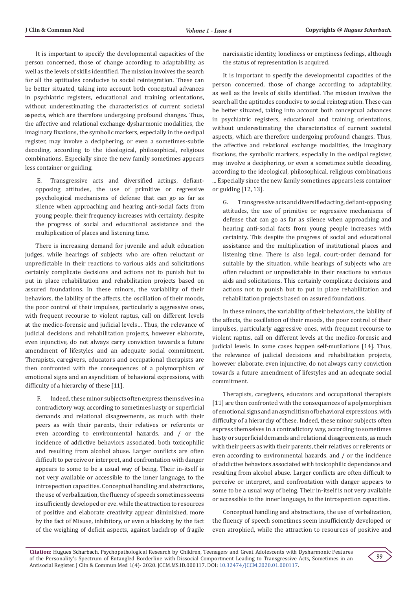It is important to specify the developmental capacities of the person concerned, those of change according to adaptability, as well as the levels of skills identified. The mission involves the search for all the aptitudes conducive to social reintegration. These can be better situated, taking into account both conceptual advances in psychiatric registers, educational and training orientations, without underestimating the characteristics of current societal aspects, which are therefore undergoing profound changes. Thus, the affective and relational exchange dysharmonic modalities, the imaginary fixations, the symbolic markers, especially in the oedipal register, may involve a deciphering, or even a sometimes-subtle decoding, according to the ideological, philosophical, religious combinations. Especially since the new family sometimes appears less container or guiding.

 E. Transgressive acts and diversified actings, defiantopposing attitudes, the use of primitive or regressive psychological mechanisms of defense that can go as far as silence when approaching and hearing anti-social facts from young people, their frequency increases with certainty, despite the progress of social and educational assistance and the multiplication of places and listening time.

There is increasing demand for juvenile and adult education judges, while hearings of subjects who are often reluctant or unpredictable in their reactions to various aids and solicitations certainly complicate decisions and actions not to punish but to put in place rehabilitation and rehabilitation projects based on assured foundations. In these minors, the variability of their behaviors, the lability of the affects, the oscillation of their moods, the poor control of their impulses, particularly a aggressive ones, with frequent recourse to violent raptus, call on different levels at the medico-forensic and judicial levels… Thus, the relevance of judicial decisions and rehabilitation projects, however elaborate, even injunctive, do not always carry conviction towards a future amendment of lifestyles and an adequate social commitment. Therapists, caregivers, educators and occupational therapists are then confronted with the consequences of a polymorphism of emotional signs and an asynclitism of behavioral expressions, with difficulty of a hierarchy of these [11].

 F. Indeed, these minor subjects often express themselves in a contradictory way, according to sometimes hasty or superficial demands and relational disagreements, as much with their peers as with their parents, their relatives or referents or even according to environmental hazards. and / or the incidence of addictive behaviors associated, both toxicophilic and resulting from alcohol abuse. Larger conflicts are often difficult to perceive or interpret, and confrontation with danger appears to some to be a usual way of being. Their in-itself is not very available or accessible to the inner language, to the introspection capacities. Conceptual handling and abstractions, the use of verbalization, the fluency of speech sometimes seems insufficiently developed or eve. while the attraction to resources of positive and elaborate creativity appear diminished, more by the fact of Misuse, inhibitory, or even a blocking by the fact of the weighing of deficit aspects, against backdrop of fragile

narcissistic identity, loneliness or emptiness feelings, although the status of representation is acquired.

It is important to specify the developmental capacities of the person concerned, those of change according to adaptability, as well as the levels of skills identified. The mission involves the search all the aptitudes conducive to social reintegration. These can be better situated, taking into account both conceptual advances in psychiatric registers, educational and training orientations, without underestimating the characteristics of current societal aspects, which are therefore undergoing profound changes. Thus, the affective and relational exchange modalities, the imaginary fixations, the symbolic markers, especially in the oedipal register, may involve a deciphering, or even a sometimes subtle decoding, according to the ideological, philosophical, religious combinations ... Especially since the new family sometimes appears less container or guiding [12, 13].

G. Transgressive acts and diversified acting, defiant-opposing attitudes, the use of primitive or regressive mechanisms of defense that can go as far as silence when approaching and hearing anti-social facts from young people increases with certainty. This despite the progress of social and educational assistance and the multiplication of institutional places and listening time. There is also legal, court-order demand for suitable by the situation, while hearings of subjects who are often reluctant or unpredictable in their reactions to various aids and solicitations. This certainly complicate decisions and actions not to punish but to put in place rehabilitation and rehabilitation projects based on assured foundations.

In these minors, the variability of their behaviors, the lability of the affects, the oscillation of their moods, the poor control of their impulses, particularly aggressive ones, with frequent recourse to violent raptus, call on different levels at the medico-forensic and judicial levels. In some cases happen self-mutilations [14]. Thus, the relevance of judicial decisions and rehabilitation projects, however elaborate, even injunctive, do not always carry conviction towards a future amendment of lifestyles and an adequate social commitment.

Therapists, caregivers, educators and occupational therapists [11] are then confronted with the consequences of a polymorphism of emotional signs and an asynclitism of behavioral expressions, with difficulty of a hierarchy of these. Indeed, these minor subjects often express themselves in a contradictory way, according to sometimes hasty or superficial demands and relational disagreements, as much with their peers as with their parents, their relatives or referents or even according to environmental hazards. and / or the incidence of addictive behaviors associated with toxicophilic dependance and resulting from alcohol abuse. Larger conflicts are often difficult to perceive or interpret, and confrontation with danger appears to some to be a usual way of being. Their in-itself is not very available or accessible to the inner language, to the introspection capacities.

Conceptual handling and abstractions, the use of verbalization, the fluency of speech sometimes seem insufficiently developed or even atrophied, while the attraction to resources of positive and

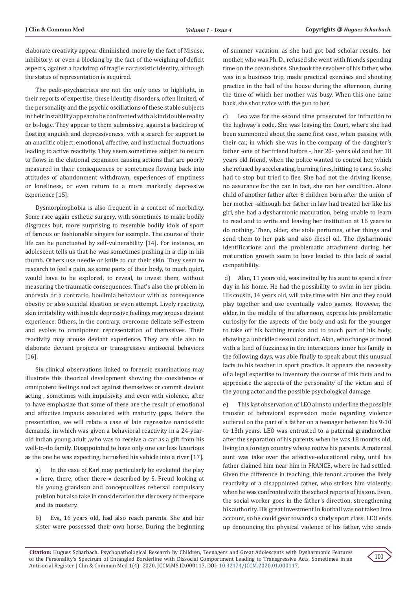elaborate creativity appear diminished, more by the fact of Misuse, inhibitory, or even a blocking by the fact of the weighing of deficit aspects, against a backdrop of fragile narcissistic identity, although the status of representation is acquired.

The pedo-psychiatrists are not the only ones to highlight, in their reports of expertise, these identity disorders, often limited, of the personality and the psychic oscillations of these stable subjects in their instability appear to be confronted with a kind double reality or bi-logic. They appear to them submissive, against a backdrop of floating anguish and depressiveness, with a search for support to an anaclitic object, emotional, affective, and instinctual fluctuations leading to active reactivity. They seem sometimes subject to return to flows in the elational expansion causing actions that are poorly measured in their consequences or sometimes flowing back into attitudes of abandonment withdrawn, experiences of emptiness or loneliness, or even return to a more markedly depressive experience [15].

Dysmorphophobia is also frequent in a context of morbidity. Some race again esthetic surgery, with sometimes to make bodily disgraces but, more surprising to resemble bodily idols of sport of famous or fashionable singers for example. The course of their life can be punctuated by self-vulnerability [14]. For instance, an adolescent tells us that he was sometimes pushing in a clip in his thumb. Others use needle or knife to cut their skin. They seem to research to feel a pain, as some parts of their body, to much quiet, would have to be explored, to reveal, to invest them, without measuring the traumatic consequences. That's also the problem in anorexia or a contrario, boulimia behaviour with as consequence obesity or also suicidal ideation or even attempt. Lively reactivity, skin irritability with hostile depressive feelings may arouse deviant experience. Others, in the contrary, overcome delicate self-esteem and evolve to omnipotent representation of themselves. Their reactivity may arouse deviant experience. They are able also to elaborate deviant projects or transgressive antisocial behaviors [16].

Six clinical observations linked to forensic examinations may illustrate this theorical development showing the coexistence of omnipotent feelings and act against themselves or commit deviant acting , sometimes with impulsivity and even with violence, after to have emphasize that some of these are the result of emotional and affective impacts associated with maturity gaps. Before the presentation, we will relate a case of late regressive narcissistic demands, in which was given a behavioral reactivity in a 24-yearold indian young adult ,who was to receive a car as a gift from his well-to-do family. Disappointed to have only one car less luxurious as the one he was expecting, he rushed his vehicle into a river [17].

a) In the case of Karl may particularly be evoketed the play « here, there, other there » described by S. Freud looking at his young grandson and conceptualizes rehersal compulsary pulsion but also take in consideration the discovery of the space and its mastery.

b) Eva, 16 years old, had also reach parents. She and her sister were possessed their own horse. During the beginning

of summer vacation, as she had got bad scholar results, her mother, who was Ph. D., refused she went with friends spending time on the ocean shore. She took the revolver of his father, who was in a business trip, made practical exercises and shooting practice in the hall of the house during the afternoon, during the time of which her mother was busy. When this one came back, she shot twice with the gun to her.

c) Lea was for the second time prosecuted for infraction to the highway's code. She was leaving the Court, where she had been summoned about the same first case, when passing with their car, in which she was in the company of the daughter's father -one of her friend before -, her 20- years old and her 18 years old friend, when the police wanted to control her, which she refused by accelerating, burning fires, hitting to cars. So, she had to stop but tried to flee. She had not the driving license, no assurance for the car. In fact, she ran her condition. Alone child of another father after 8 children born after the union of her mother -although her father in law had treated her like his girl, she had a dysharmonic maturation, being unable to learn to read and to write and leaving her institution at 16 years to do nothing. Then, older, she stole perfumes, other things and send them to her pals and also diesel oil. The dysharmonic identifications and the problematic attachment during her maturation growth seem to have leaded to this lack of social compatibility.

 d) Alan, 11 years old, was invited by his aunt to spend a free day in his home. He had the possibility to swim in her piscin. His cousin, 14 years old, will take time with him and they could play together and use eventually video games. However, the older, in the middle of the afternoon, express his problematic curiosity for the aspects of the body and ask for the younger to take off his bathing trunks and to touch part of his body, showing a unbridled sexual conduct. Alan, who change of mood with a kind of fuzziness in the interactions inner his family in the following days, was able finally to speak about this unusual facts to his teacher in sport practice. It appears the necessity of a legal expertise to inventory the course of this facts and to appreciate the aspects of the personality of the victim and of the young actor and the possible psychological damage.

e) This last observation of LEO aims to underline the possible transfer of behavioral expression mode regarding violence suffered on the part of a father on a teenager between his 9-10 to 13th years. LEO was entrusted to a paternal grandmother after the separation of his parents, when he was 18 months old, living in a foreign country whose native his parents. A maternal aunt was take over the affective-educational relay, until his father claimed him near him in FRANCE, where he had settled. Given the difference in teaching, this tenant arouses the lively reactivity of a disappointed father, who strikes him violently, when he was confronted with the school reports of his son. Even, the social worker goes in the father's direction, strengthening his authority. His great investment in football was not taken into account, so he could gear towards a study sport class. LEO ends up denouncing the physical violence of his father, who sends

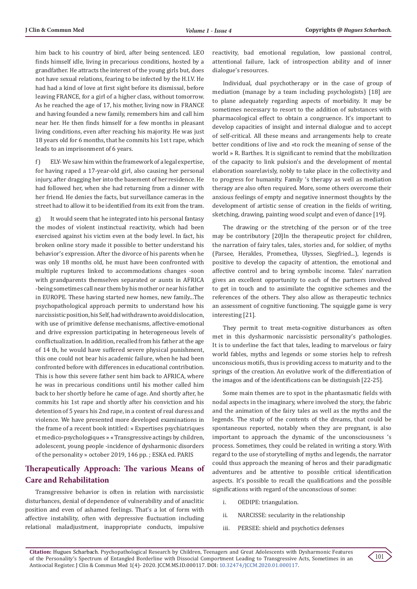him back to his country of bird, after being sentenced. LEO finds himself idle, living in precarious conditions, hosted by a grandfather. He attracts the interest of the young girls but, does not have sexual relations, fearing to be infected by the H.I.V. He had had a kind of love at first sight before its dismissal, before leaving FRANCE, for a girl of a higher class, without tomorrow. As he reached the age of 17, his mother, living now in FRANCE and having founded a new family, remembers him and call him near her. He then finds himself for a few months in pleasant living conditions, even after reaching his majority. He was just 18 years old for 6 months, that he commits his 1st t rape, which leads to an imprisonment of 6 years.

f) ELY- We saw him within the framework of a legal expertise, for having raped a 17-year-old girl, also causing her personal injury, after dragging her into the basement of her residence. He had followed her, when she had returning from a dinner with her friend. He denies the facts, but surveillance cameras in the street had to allow it to be identified from its exit from the tram.

g) It would seem that he integrated into his personal fantasy the modes of violent instinctual reactivity, which had been exercised against his victim even at the body level. In fact, his broken online story made it possible to better understand his behavior's expression. After the divorce of his parents when he was only 18 months old, he must have been confronted with multiple ruptures linked to accommodations changes -soon with grandparents themselves separated or aunts in AFRICA -being sometimes call near them by his mother or near his father in EUROPE. These having started new homes, new family...The psychopathological approach permits to understand how his narcissistic position, his Self, had withdrawn to avoid dislocation, with use of primitive defense mechanisms, affective-emotional and drive expression participating in heterogeneous levels of conflictualization. In addition, recalled from his father at the age of 14 th, he would have suffered severe physical punishment, this one could not bear his academic failure, when he had been confronted before with differences in educational contribution. This is how this severe father sent him back to AFRICA, where he was in precarious conditions until his mother called him back to her shortly before he came of age. And shortly after, he commits his 1st rape and shortly after his conviction and his detention of 5 years his 2nd rape, in a context of real duress and violence. We have presented more developed examinations in the frame of a recent book intitled: « Expertises psychiatriques et medico-psychologiques » « Transgressive actings by children, adolescent, young people -incidence of dysharmonic disorders of the personality » october 2019, 146 pp. ; ESKA ed. PARIS

# **Therapeutically Approach: The various Means of Care and Rehabilitation**

Transgressive behavior is often in relation with narcissistic disturbances, denial of dependence of vulnerability and of anaclitic position and even of ashamed feelings. That's a lot of form with affective instability, often with depressive fluctuation including relational maladjustment, inappropriate conducts, impulsive

reactivity, bad emotional regulation, low passional control, attentional failure, lack of introspection ability and of inner dialogue's resources.

Individual, dual psychotherapy or in the case of group of mediation (manage by a team including psychologists) [18] are to plane adequately regarding aspects of morbidity. It may be sometimes necessary to resort to the addition of substances with pharmacological effect to obtain a congruence. It's important to develop capacities of insight and internal dialogue and to accept of self-critical. All these means and arrangements help to create better conditions of live and «to rock the meaning of sense of the world » R. Barthes. It is significant to remind that the mobilization of the capacity to link pulsion's and the development of mental elaboration soarelavisly, nobly to take place in the collectivity and to progress for humanity. Family 's therapy as well as mediation therapy are also often required. More, some others overcome their anxious feelings of empty and negative innermost thoughts by the development of artistic sense of creation in the fields of writing, sketching, drawing, painting wood sculpt and even of dance [19].

The drawing or the stretching of the person or of the tree may be contributory [20]In the therapeutic project for children, the narration of fairy tales, tales, stories and, for soldier, of myths (Parsee, Herakles, Promethea, Ulysses, Siegfried...), legends is positive to develop the capacity of attention, the emotional and affective control and to bring symbolic income. Tales' narration gives an excellent opportunity to each of the partners involved to get in touch and to assimilate the cognitive schemes and the references of the others. They also allow as therapeutic technics an assessment of cognitive functioning. The squiggle game is very interesting [21].

They permit to treat meta-cognitive disturbances as often met in this dysharmonic narcissistic personality's pathologies. It is to underline the fact that tales, leading to marvelous or fairy world fables, myths and legends or some stories help to refresh unconscious motifs, thus is providing access to maturity and to the springs of the creation. An evolutive work of the differentiation of the imagos and of the identifications can be distinguish [22-25].

Some main themes are to spot in the phantasmatic fields with nodal aspects in the imaginary, where involved the story, the fabric and the animation of the fairy tales as well as the myths and the legends. The study of the contents of the dreams, that could be spontaneous reported, notably when they are pregnant, is also important to approach the dynamic of the unconsciousness 's process. Sometimes, they could be related in writing a story. With regard to the use of storytelling of myths and legends, the narrator could thus approach the meaning of heros and their paradigmatic adventures and be attentive to possible critical identification aspects. It's possible to recall the qualifications and the possible significations with regard of the unconscious of some:

- i. OEDIPE: triangulation.
- ii. NARCISSE: secularity in the relationship
- iii. PERSEE: shield and psychotics defenses

**Citation:** Hugues Scharbach. Psychopathological Research by Children, Teenagers and Great Adolescents with Dysharmonic Features of the Personality's Spectrum of Entangled Borderline with Dissocial Comportment Leading to Transgressive Acts, Sometimes in an Antisocial Register. J Clin & Commun Med 1(4)- 2020. JCCM.MS.ID.000117. DOI: [10.32474/JCCM.2020.01.00011](http://dx.doi.org/10.32474/JCCM.2020.01.000117)7.

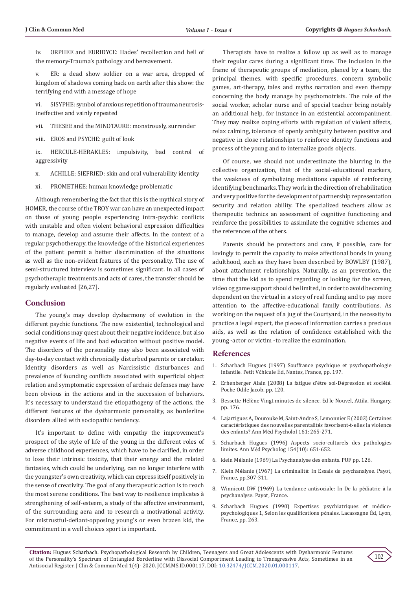iv. ORPHEE and EURIDYCE: Hades' recollection and hell of the memory-Trauma's pathology and bereavement.

v. ER: a dead show soldier on a war area, dropped of kingdom of shadows coming back on earth after this show: the terrifying end with a message of hope

vi. SISYPHE: symbol of anxious repetition of trauma neurosisineffective and vainly repeated

vii. THESEE and the MINOTAURE: monstrously, surrender

viii. EROS and PSYCHE: guilt of look

ix. HERCULE-HERAKLES: impulsivity, bad control of aggressivity

x. ACHILLE; SIEFRIED: skin and oral vulnerability identity

xi. PROMETHEE: human knowledge problematic

Although remembering the fact that this is the mythical story of HOMER, the course of the TROY war can have an unexpected impact on those of young people experiencing intra-psychic conflicts with unstable and often violent behavioral expression difficulties to manage, develop and assume their affects. In the context of a regular psychotherapy, the knowledge of the historical experiences of the patient permit a better discrimination of the situations as well as the non-evident features of the personality. The use of semi-structured interview is sometimes significant. In all cases of psychotherapic treatments and acts of cares, the transfer should be regularly evaluated [26,27].

## **Conclusion**

The young's may develop dysharmony of evolution in the different psychic functions. The new existential, technological and social conditions may quest about their negative incidence, but also negative events of life and bad education without positive model. The disorders of the personality may also been associated with day-to-day contact with chronically disturbed parents or caretaker. Identity disorders as well as Narcissistic disturbances and prevalence of founding conflicts associated with superficial object relation and symptomatic expression of archaic defenses may have been obvious in the actions and in the succession of behaviors. It's necessary to understand the etiopathogeny of the actions, the different features of the dysharmonic personality, as borderline disorders allied with sociopathic tendency.

It's important to define with empathy the improvement's prospect of the style of life of the young in the different roles of adverse childhood experiences, which have to be clarified, in order to lose their intrinsic toxicity, that their energy and the related fantasies, which could be underlying, can no longer interfere with the youngster's own creativity, which can express itself positively in the sense of creativity. The goal of any therapeutic action is to reach the most serene conditions. The best way to resilience implicates à strengthening of self-esteem, a study of the affective environment, of the surrounding aera and to research a motivational activity. For mistrustful-defiant-opposing young's or even brazen kid, the commitment in a well choices sport is important.

Therapists have to realize a follow up as well as to manage their regular cares during a significant time. The inclusion in the frame of therapeutic groups of mediation, planed by a team, the principal themes, with specific procedures, concern symbolic games, art-therapy, tales and myths narration and even therapy concerning the body manage by psychomotrists. The role of the social worker, scholar nurse and of special teacher bring notably an additional help, for instance in an existential accompaniment. They may realize coping efforts with regulation of violent affects, relax calming, tolerance of openly ambiguity between positive and negative in close relationships to reinforce identity functions and process of the young and to internalize goods objects.

Of course, we should not underestimate the blurring in the collective organization, that of the social-educational markers, the weakness of symbolizing mediations capable of reinforcing identifying benchmarks. They work in the direction of rehabilitation and very positive for the development of partnership representation security and relation ability. The specialized teachers allow as therapeutic technics an assessment of cognitive functioning and reinforce the possibilities to assimilate the cognitive schemes and the references of the others.

Parents should be protectors and care, if possible, care for lovingly to permit the capacity to make affectional bonds in young adulthood, such as they have been described by BOWLBY (1987), about attachment relationships. Naturally, as an prevention, the time that the kid as to spend regarding or looking for the screen, video og game support should be limited, in order to avoid becoming dependent on the virtual in a story of real funding and to pay more attention to the affective-educational family contributions. As working on the request of a jug of the Courtyard, in the necessity to practice a legal expert, the pieces of information carries a precious aids, as well as the relation of confidence established with the young -actor or victim -to realize the examination.

#### **References**

- 1. Scharbach Hugues (1997) Souffrance psychique et psychopathologie infantile. Petit Véhicule Éd, Nantes, France, pp. 197.
- 2. Erhenberger Alain (2008) La fatigue d'être soi-Dépression et société. Poche Odile Jacob, pp. 120.
- 3. Bessette Hélène Vingt minutes de silence. Éd le Nouvel, Attila, Hungary, pp. 176.
- 4. Lajartigues A, Dourouke M, Saint-Andre S, Lemonnier E (2003) Certaines caractéristiques des nouvelles parentalités favorisent-t-elles la violence des enfants? Ann Méd Psycholol 161: 265-271.
- 5. Scharbach Hugues (1996) Aspects socio-culturels des pathologies limites. Ann Méd Psycholog 154(10): 651-652.
- 6. klein Mélanie (1969) La Psychanalyse des enfants. PUF pp. 126.
- 7. Klein Mélanie (1967) La criminalité: In Essais de psychanalyse. Payot, France, pp.307-311.
- 8. Winnicott DW (1969) La tendance antisociale: In De la pédiatrie à la psychanalyse. Payot, France.
- 9. Scharbach Hugues (1990) Expertises psychiatriques et médicopsychologiques 1, Selon les qualifications pénales. Lacassagne Éd, Lyon, France, pp. 263.

**Citation:** Hugues Scharbach. Psychopathological Research by Children, Teenagers and Great Adolescents with Dysharmonic Features of the Personality's Spectrum of Entangled Borderline with Dissocial Comportment Leading to Transgressive Acts, Sometimes in an Antisocial Register. J Clin & Commun Med 1(4)- 2020. JCCM.MS.ID.000117. DOI: [10.32474/JCCM.2020.01.00011](http://dx.doi.org/10.32474/JCCM.2020.01.000117)7.